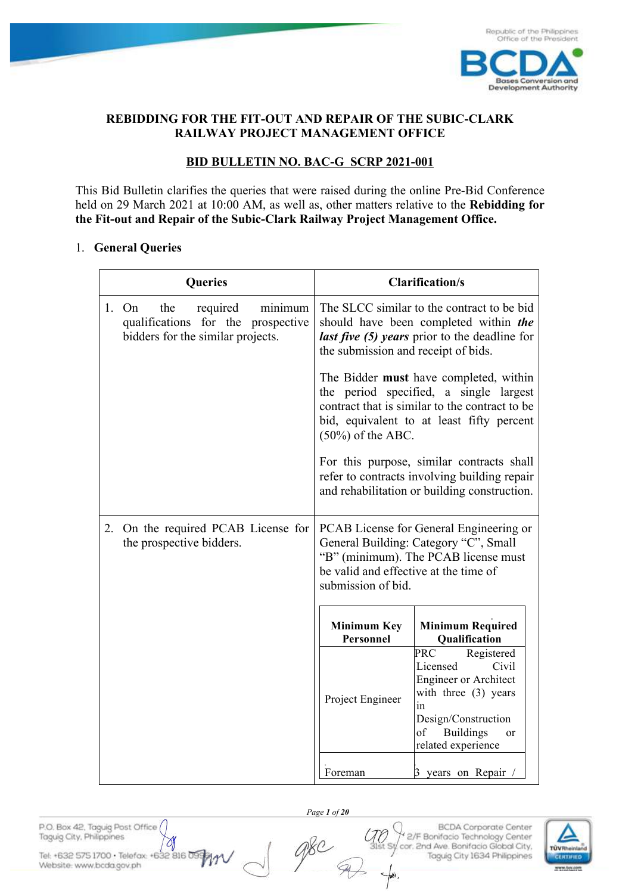

**Development Authority** 

#### **REBIDDING FOR THE FIT-OUT AND REPAIR OF THE SUBIC-CLARK RAILWAY PROJECT MANAGEMENT OFFICE**

### **BID BULLETIN NO. BAC-G SCRP 2021-001**

This Bid Bulletin clarifies the queries that were raised during the online Pre-Bid Conference held on 29 March 2021 at 10:00 AM, as well as, other matters relative to the **Rebidding for the Fit-out and Repair of the Subic-Clark Railway Project Management Office.** 

#### 1. **General Queries**

| <b>Queries</b>                                                                                                 | <b>Clarification/s</b>                                                                                                                                                                                  |                                                                                                                                                                                          |  |  |
|----------------------------------------------------------------------------------------------------------------|---------------------------------------------------------------------------------------------------------------------------------------------------------------------------------------------------------|------------------------------------------------------------------------------------------------------------------------------------------------------------------------------------------|--|--|
| 1. On<br>the<br>required<br>minimum<br>qualifications for the prospective<br>bidders for the similar projects. | The SLCC similar to the contract to be bid<br>should have been completed within the<br>last five (5) years prior to the deadline for<br>the submission and receipt of bids.                             |                                                                                                                                                                                          |  |  |
|                                                                                                                | The Bidder must have completed, within<br>the period specified, a single largest<br>contract that is similar to the contract to be<br>bid, equivalent to at least fifty percent<br>$(50\%)$ of the ABC. |                                                                                                                                                                                          |  |  |
|                                                                                                                |                                                                                                                                                                                                         | For this purpose, similar contracts shall<br>refer to contracts involving building repair<br>and rehabilitation or building construction.                                                |  |  |
| 2. On the required PCAB License for<br>the prospective bidders.                                                | PCAB License for General Engineering or<br>General Building: Category "C", Small<br>"B" (minimum). The PCAB license must<br>be valid and effective at the time of<br>submission of bid.                 |                                                                                                                                                                                          |  |  |
|                                                                                                                |                                                                                                                                                                                                         |                                                                                                                                                                                          |  |  |
|                                                                                                                | <b>Minimum Key</b><br>Personnel                                                                                                                                                                         | <b>Minimum Required</b><br>Qualification                                                                                                                                                 |  |  |
|                                                                                                                | Project Engineer                                                                                                                                                                                        | <b>PRC</b><br>Registered<br>Licensed<br>Civil<br><b>Engineer or Architect</b><br>with three (3) years<br>in<br>Design/Construction<br><b>Buildings</b><br>of<br>or<br>related experience |  |  |
|                                                                                                                | Foreman                                                                                                                                                                                                 | 3 years on Repair                                                                                                                                                                        |  |  |

 *Page 1 of 20*

are

Ŋ Tel: +632 575 1700 · Telefax: +632 816 09 Website: www.bcda.gov.ph

P.O. Box 42, Taguig Post Office (

Taguig City, Philippines

**BCDA** Corporate Center 2/F Bonifacio Technology Center cor. 2nd Ave. Bonifacio Global City, Taguig City 1634 Philippines

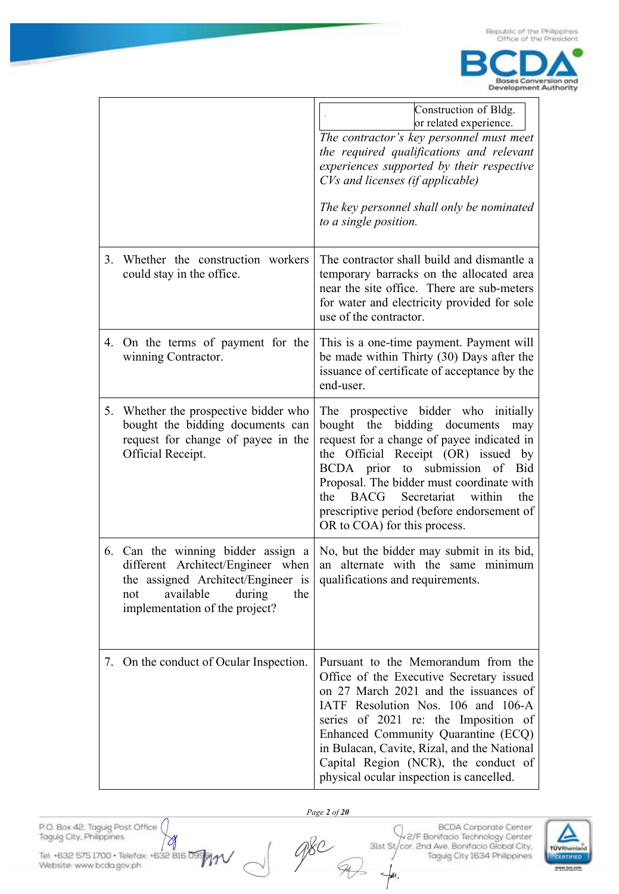

|    |                                                                                                                                                                                      | Construction of Bldg.<br>or related experience.<br>The contractor's key personnel must meet<br>the required qualifications and relevant<br>experiences supported by their respective<br>CVs and licenses (if applicable)<br>The key personnel shall only be nominated<br>to a single position.                                                                                                   |
|----|--------------------------------------------------------------------------------------------------------------------------------------------------------------------------------------|--------------------------------------------------------------------------------------------------------------------------------------------------------------------------------------------------------------------------------------------------------------------------------------------------------------------------------------------------------------------------------------------------|
| 3. | Whether the construction workers<br>could stay in the office.                                                                                                                        | The contractor shall build and dismantle a<br>temporary barracks on the allocated area<br>near the site office. There are sub-meters<br>for water and electricity provided for sole<br>use of the contractor.                                                                                                                                                                                    |
|    | 4. On the terms of payment for the<br>winning Contractor.                                                                                                                            | This is a one-time payment. Payment will<br>be made within Thirty (30) Days after the<br>issuance of certificate of acceptance by the<br>end-user.                                                                                                                                                                                                                                               |
| 5. | Whether the prospective bidder who<br>bought the bidding documents can<br>request for change of payee in the<br>Official Receipt.                                                    | The prospective bidder who initially<br>bidding documents<br>bought the<br>may<br>request for a change of payee indicated in<br>Official Receipt (OR) issued by<br>the<br>BCDA prior to submission<br>of<br>Bid<br>Proposal. The bidder must coordinate with<br>within<br><b>BACG</b><br>Secretariat<br>the<br>the<br>prescriptive period (before endorsement of<br>OR to COA) for this process. |
|    | 6. Can the winning bidder assign a<br>different Architect/Engineer when<br>the assigned Architect/Engineer is<br>available<br>during<br>not<br>the<br>implementation of the project? | No, but the bidder may submit in its bid,<br>alternate with the same minimum<br>an<br>qualifications and requirements.                                                                                                                                                                                                                                                                           |
| 7. | On the conduct of Ocular Inspection.                                                                                                                                                 | Pursuant to the Memorandum from the<br>Office of the Executive Secretary issued<br>on 27 March 2021 and the issuances of<br>IATF Resolution Nos. 106 and 106-A<br>series of 2021 re: the Imposition of<br>Enhanced Community Quarantine (ECQ)<br>in Bulacan, Cavite, Rizal, and the National<br>Capital Region (NCR), the conduct of<br>physical ocular inspection is cancelled.                 |

P.O. Box 42, Taguig Post Office ð

Tel: +632 575 1700 - Telefax: +632 816 0999<br>Website: www.bcda.gov.ph

Page 2 of 20

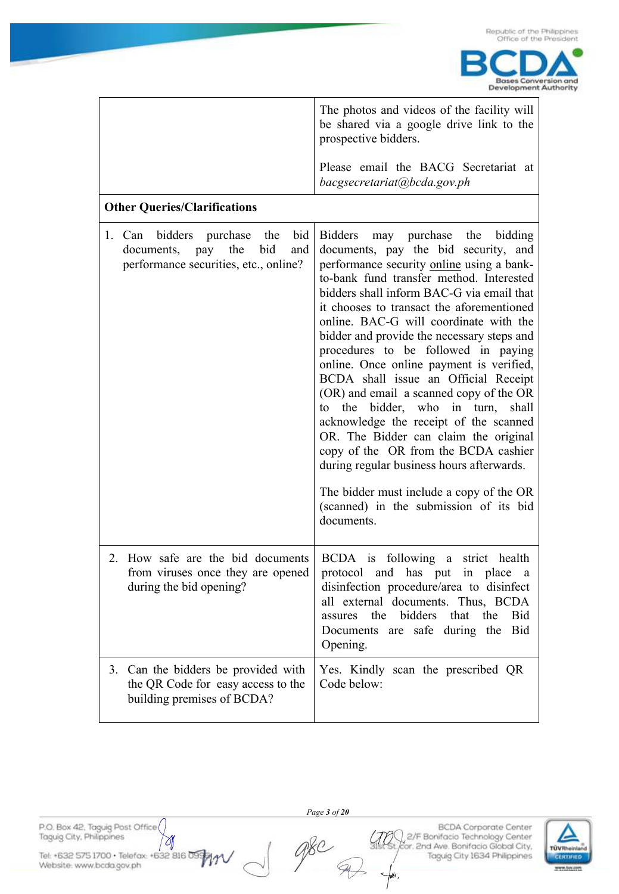

|                                                                                                                             | The photos and videos of the facility will<br>be shared via a google drive link to the<br>prospective bidders.                                                                                                                                                                                                                                                                                                                                                                                                                                                                                                                                                                                                                                                                                                                                          |
|-----------------------------------------------------------------------------------------------------------------------------|---------------------------------------------------------------------------------------------------------------------------------------------------------------------------------------------------------------------------------------------------------------------------------------------------------------------------------------------------------------------------------------------------------------------------------------------------------------------------------------------------------------------------------------------------------------------------------------------------------------------------------------------------------------------------------------------------------------------------------------------------------------------------------------------------------------------------------------------------------|
|                                                                                                                             | Please email the BACG Secretariat at<br>bacgsecretariat@bcda.gov.ph                                                                                                                                                                                                                                                                                                                                                                                                                                                                                                                                                                                                                                                                                                                                                                                     |
| <b>Other Queries/Clarifications</b>                                                                                         |                                                                                                                                                                                                                                                                                                                                                                                                                                                                                                                                                                                                                                                                                                                                                                                                                                                         |
| the<br>bid<br>bidders purchase<br>1. Can<br>bid<br>the<br>documents,<br>pay<br>and<br>performance securities, etc., online? | <b>Bidders</b><br>may purchase the bidding<br>documents, pay the bid security, and<br>performance security online using a bank-<br>to-bank fund transfer method. Interested<br>bidders shall inform BAC-G via email that<br>it chooses to transact the aforementioned<br>online. BAC-G will coordinate with the<br>bidder and provide the necessary steps and<br>procedures to be followed in paying<br>online. Once online payment is verified,<br>BCDA shall issue an Official Receipt<br>(OR) and email a scanned copy of the OR<br>to the bidder, who in turn,<br>shall<br>acknowledge the receipt of the scanned<br>OR. The Bidder can claim the original<br>copy of the OR from the BCDA cashier<br>during regular business hours afterwards.<br>The bidder must include a copy of the OR<br>(scanned) in the submission of its bid<br>documents. |
| 2. How safe are the bid documents<br>from viruses once they are opened<br>during the bid opening?                           | BCDA is following a strict health<br>and has put<br>in place<br>protocol<br>disinfection procedure/area to disinfect<br>all external documents. Thus, BCDA<br>assures<br>the<br>bidders<br>that<br>the<br>Bid<br>safe<br>Bid<br>Documents<br>during the<br>are<br>Opening.                                                                                                                                                                                                                                                                                                                                                                                                                                                                                                                                                                              |
| 3. Can the bidders be provided with<br>the QR Code for easy access to the<br>building premises of BCDA?                     | Yes. Kindly scan the prescribed QR<br>Code below:                                                                                                                                                                                                                                                                                                                                                                                                                                                                                                                                                                                                                                                                                                                                                                                                       |

P.O. Box 42, Taguig Post Office Ŋ

Tel: +632 575 1700 - Telefax: +632 816 0999<br>Website: www.bcda.gov.ph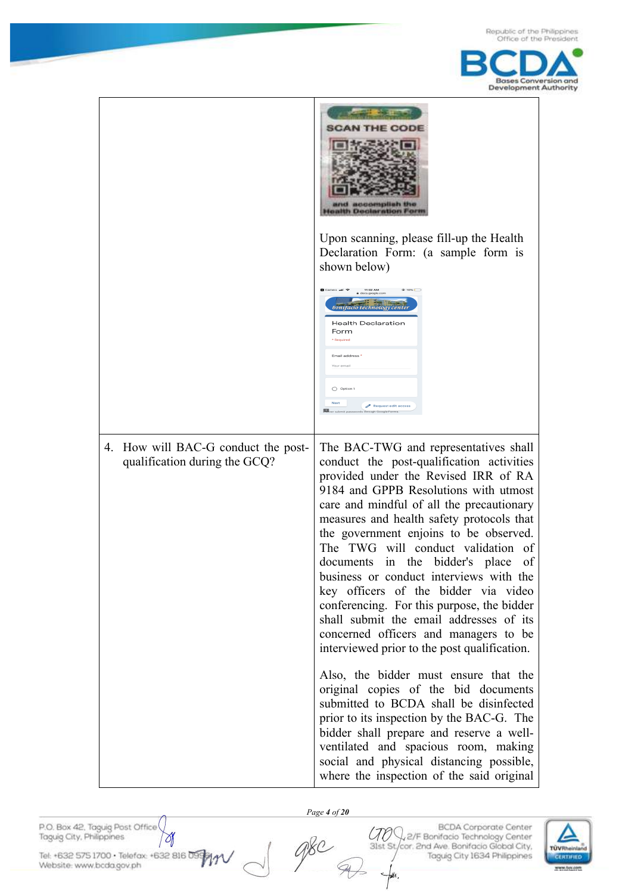



P.O. Box 42, Taguig Post Office Taguig City, Philippines

Website: www.bcda.gov.ph

Tel: +632 575 1700 · Telefox: +632 816 09

٥

 *Page 4 of 20*

CTO Q, 2/F Bonifacio Technology Center 31st St/cor. 2nd Ave. Bonifacio Global City, Taguig City 1634 Philippines



**BCDA** Corporate Center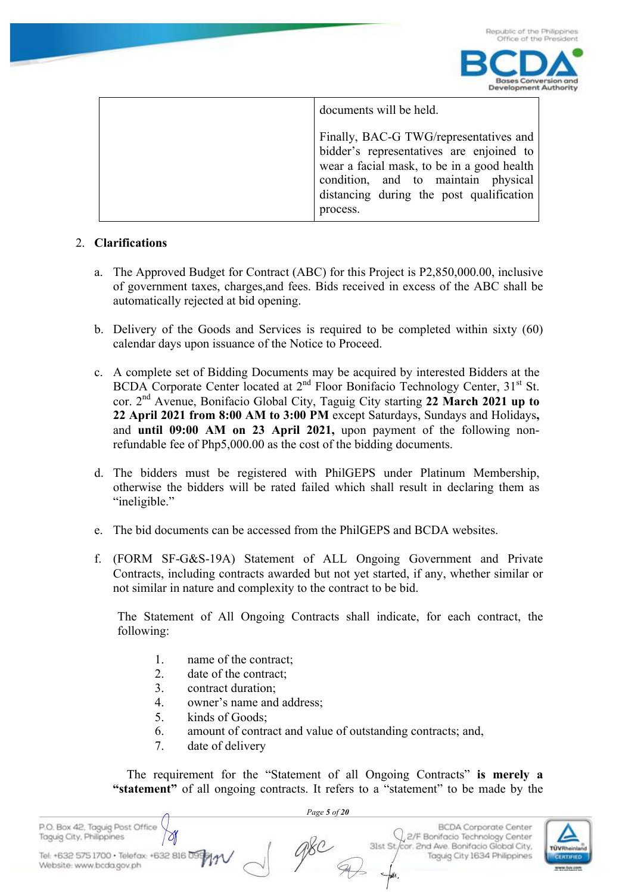



| documents will be held.                                                                                                                                                                                                         |
|---------------------------------------------------------------------------------------------------------------------------------------------------------------------------------------------------------------------------------|
| Finally, BAC-G TWG/representatives and<br>bidder's representatives are enjoined to<br>wear a facial mask, to be in a good health<br>condition, and to maintain physical<br>distancing during the post qualification<br>process. |

#### 2. **Clarifications**

- a. The Approved Budget for Contract (ABC) for this Project is P2,850,000.00, inclusive of government taxes, charges,and fees. Bids received in excess of the ABC shall be automatically rejected at bid opening.
- b. Delivery of the Goods and Services is required to be completed within sixty (60) calendar days upon issuance of the Notice to Proceed.
- c. A complete set of Bidding Documents may be acquired by interested Bidders at the BCDA Corporate Center located at 2<sup>nd</sup> Floor Bonifacio Technology Center, 31<sup>st</sup> St. cor. 2nd Avenue, Bonifacio Global City, Taguig City starting **22 March 2021 up to 22 April 2021 from 8:00 AM to 3:00 PM** except Saturdays, Sundays and Holidays**,**  and **until 09:00 AM on 23 April 2021,** upon payment of the following nonrefundable fee of Php5,000.00 as the cost of the bidding documents.
- d. The bidders must be registered with PhilGEPS under Platinum Membership, otherwise the bidders will be rated failed which shall result in declaring them as "ineligible."
- e. The bid documents can be accessed from the PhilGEPS and BCDA websites.
- f. (FORM SF-G&S-19A) Statement of ALL Ongoing Government and Private Contracts, including contracts awarded but not yet started, if any, whether similar or not similar in nature and complexity to the contract to be bid.

The Statement of All Ongoing Contracts shall indicate, for each contract, the following:

- 1. name of the contract;
- 2. date of the contract;
- 3. contract duration;
- 4. owner's name and address;
- 5. kinds of Goods;
- 6. amount of contract and value of outstanding contracts; and,
- 7. date of delivery

 The requirement for the "Statement of all Ongoing Contracts" **is merely a "statement"** of all ongoing contracts. It refers to a "statement" to be made by the

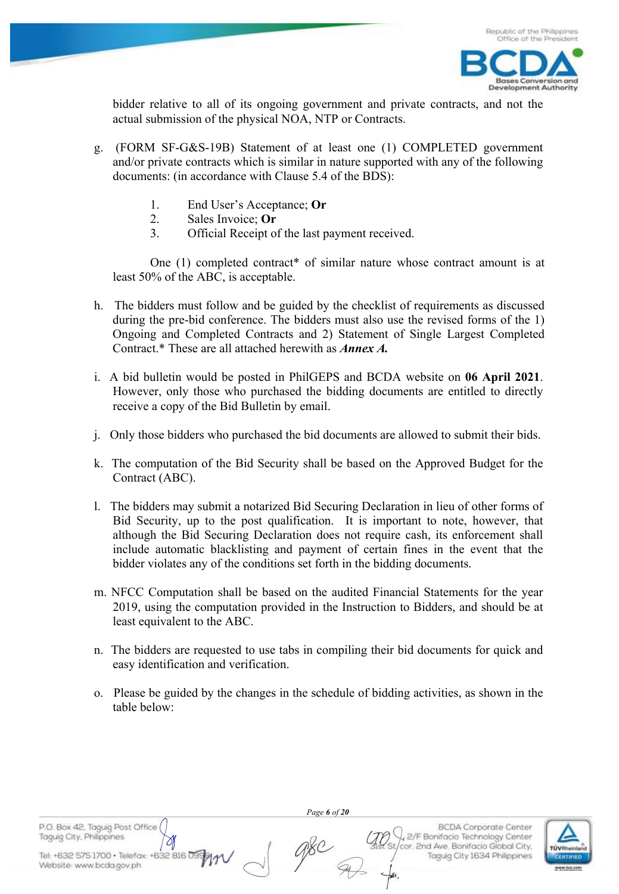

bidder relative to all of its ongoing government and private contracts, and not the actual submission of the physical NOA, NTP or Contracts.

- g. (FORM SF-G&S-19B) Statement of at least one (1) COMPLETED government and/or private contracts which is similar in nature supported with any of the following documents: (in accordance with Clause 5.4 of the BDS):
	- 1. End User's Acceptance; **Or**
	- 2. Sales Invoice; **Or**
	- 3. Official Receipt of the last payment received.

One (1) completed contract\* of similar nature whose contract amount is at least 50% of the ABC, is acceptable.

- h. The bidders must follow and be guided by the checklist of requirements as discussed during the pre-bid conference. The bidders must also use the revised forms of the 1) Ongoing and Completed Contracts and 2) Statement of Single Largest Completed Contract.\* These are all attached herewith as *Annex A.*
- i. A bid bulletin would be posted in PhilGEPS and BCDA website on **06 April 2021**. However, only those who purchased the bidding documents are entitled to directly receive a copy of the Bid Bulletin by email.
- j. Only those bidders who purchased the bid documents are allowed to submit their bids.
- k. The computation of the Bid Security shall be based on the Approved Budget for the Contract (ABC).
- l. The bidders may submit a notarized Bid Securing Declaration in lieu of other forms of Bid Security, up to the post qualification. It is important to note, however, that although the Bid Securing Declaration does not require cash, its enforcement shall include automatic blacklisting and payment of certain fines in the event that the bidder violates any of the conditions set forth in the bidding documents.
- m. NFCC Computation shall be based on the audited Financial Statements for the year 2019, using the computation provided in the Instruction to Bidders, and should be at least equivalent to the ABC.
- n. The bidders are requested to use tabs in compiling their bid documents for quick and easy identification and verification.
- o. Please be guided by the changes in the schedule of bidding activities, as shown in the table below:

Taguig City, Philippines Tel: +632 575 1700 · Telefax: +632 816

P.O. Box 42, Taguig Post Office

Website: www.bcda.gov.ph

 *Page 6 of 20*

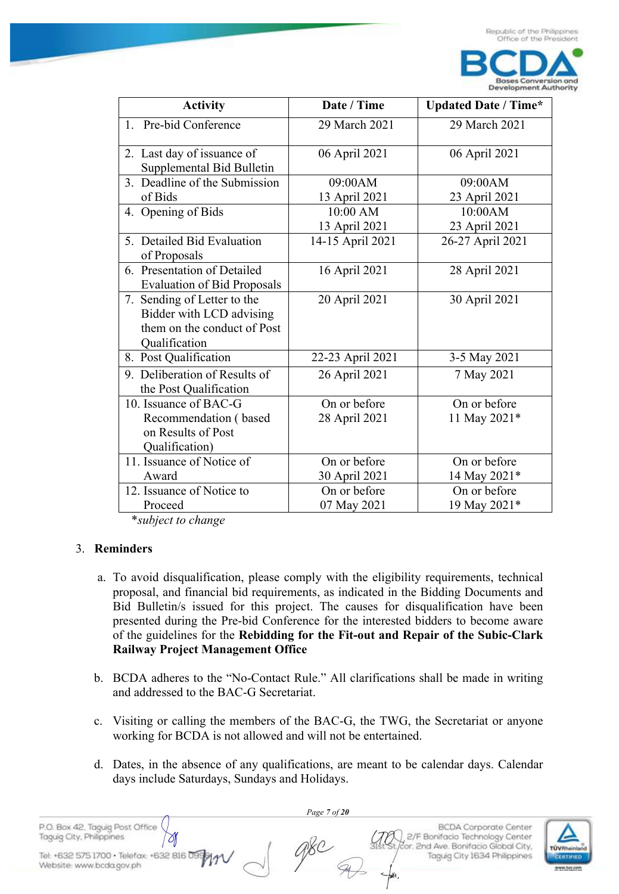

| <b>Activity</b>                                                                                         | Date / Time                   | <b>Updated Date / Time*</b>  |
|---------------------------------------------------------------------------------------------------------|-------------------------------|------------------------------|
| 1. Pre-bid Conference                                                                                   | 29 March 2021                 | 29 March 2021                |
| 2. Last day of issuance of<br>Supplemental Bid Bulletin                                                 | 06 April 2021                 | 06 April 2021                |
| 3. Deadline of the Submission<br>of Bids                                                                | 09:00AM<br>13 April 2021      | 09:00AM<br>23 April 2021     |
| 4. Opening of Bids                                                                                      | 10:00 AM<br>13 April 2021     | 10:00AM<br>23 April 2021     |
| 5. Detailed Bid Evaluation<br>of Proposals                                                              | 14-15 April 2021              | 26-27 April 2021             |
| 6. Presentation of Detailed<br><b>Evaluation of Bid Proposals</b>                                       | 16 April 2021                 | 28 April 2021                |
| 7. Sending of Letter to the<br>Bidder with LCD advising<br>them on the conduct of Post<br>Qualification | 20 April 2021                 | 30 April 2021                |
| 8. Post Qualification                                                                                   | 22-23 April 2021              | 3-5 May 2021                 |
| 9. Deliberation of Results of<br>the Post Qualification                                                 | 26 April 2021                 | 7 May 2021                   |
| 10. Issuance of BAC-G<br>Recommendation (based<br>on Results of Post<br>Qualification)                  | On or before<br>28 April 2021 | On or before<br>11 May 2021* |
| 11. Issuance of Notice of<br>Award                                                                      | On or before<br>30 April 2021 | On or before<br>14 May 2021* |
| 12. Issuance of Notice to<br>Proceed                                                                    | On or before<br>07 May 2021   | On or before<br>19 May 2021* |

\**subject to change* 

#### 3. **Reminders**

- a. To avoid disqualification, please comply with the eligibility requirements, technical proposal, and financial bid requirements, as indicated in the Bidding Documents and Bid Bulletin/s issued for this project. The causes for disqualification have been presented during the Pre-bid Conference for the interested bidders to become aware of the guidelines for the **Rebidding for the Fit-out and Repair of the Subic-Clark Railway Project Management Office**
- b. BCDA adheres to the "No-Contact Rule." All clarifications shall be made in writing and addressed to the BAC-G Secretariat.
- c. Visiting or calling the members of the BAC-G, the TWG, the Secretariat or anyone working for BCDA is not allowed and will not be entertained.
- d. Dates, in the absence of any qualifications, are meant to be calendar days. Calendar days include Saturdays, Sundays and Holidays.

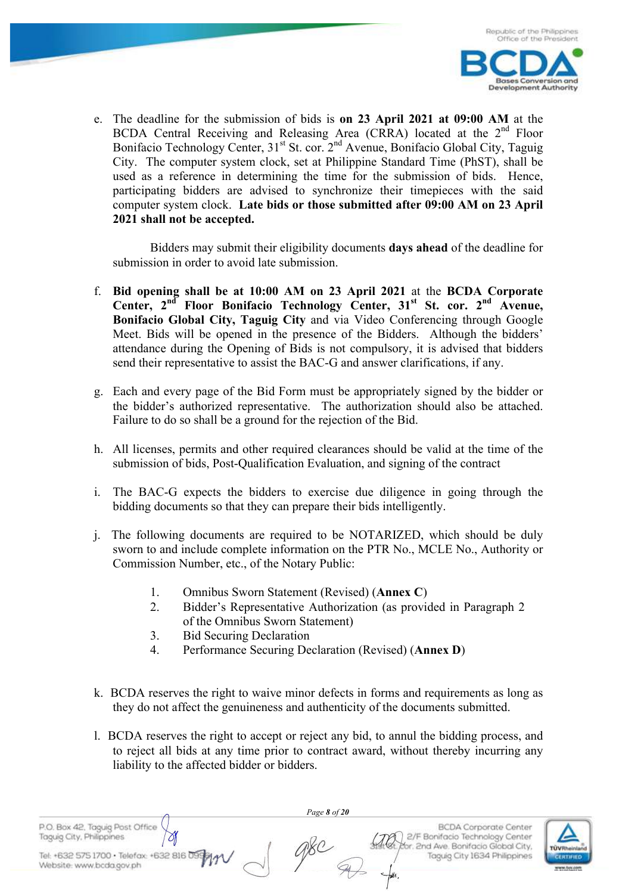

e. The deadline for the submission of bids is **on 23 April 2021 at 09:00 AM** at the BCDA Central Receiving and Releasing Area (CRRA) located at the 2<sup>nd</sup> Floor Bonifacio Technology Center,  $31<sup>st</sup>$  St. cor.  $2<sup>nd</sup>$  Avenue, Bonifacio Global City, Taguig City. The computer system clock, set at Philippine Standard Time (PhST), shall be used as a reference in determining the time for the submission of bids. Hence, participating bidders are advised to synchronize their timepieces with the said computer system clock. **Late bids or those submitted after 09:00 AM on 23 April 2021 shall not be accepted.**

Bidders may submit their eligibility documents **days ahead** of the deadline for submission in order to avoid late submission.

- f. **Bid opening shall be at 10:00 AM on 23 April 2021** at the **BCDA Corporate Center, 2nd Floor Bonifacio Technology Center, 31st St. cor. 2nd Avenue, Bonifacio Global City, Taguig City** and via Video Conferencing through Google Meet. Bids will be opened in the presence of the Bidders. Although the bidders' attendance during the Opening of Bids is not compulsory, it is advised that bidders send their representative to assist the BAC-G and answer clarifications, if any.
- g. Each and every page of the Bid Form must be appropriately signed by the bidder or the bidder's authorized representative. The authorization should also be attached. Failure to do so shall be a ground for the rejection of the Bid.
- h. All licenses, permits and other required clearances should be valid at the time of the submission of bids, Post-Qualification Evaluation, and signing of the contract
- i. The BAC-G expects the bidders to exercise due diligence in going through the bidding documents so that they can prepare their bids intelligently.
- j. The following documents are required to be NOTARIZED, which should be duly sworn to and include complete information on the PTR No., MCLE No., Authority or Commission Number, etc., of the Notary Public:
	- 1. Omnibus Sworn Statement (Revised) (**Annex C**)
	- 2. Bidder's Representative Authorization (as provided in Paragraph 2 of the Omnibus Sworn Statement)
	- 3. Bid Securing Declaration
	- 4. Performance Securing Declaration (Revised) (**Annex D**)
- k. BCDA reserves the right to waive minor defects in forms and requirements as long as they do not affect the genuineness and authenticity of the documents submitted.
- l. BCDA reserves the right to accept or reject any bid, to annul the bidding process, and to reject all bids at any time prior to contract award, without thereby incurring any liability to the affected bidder or bidders.

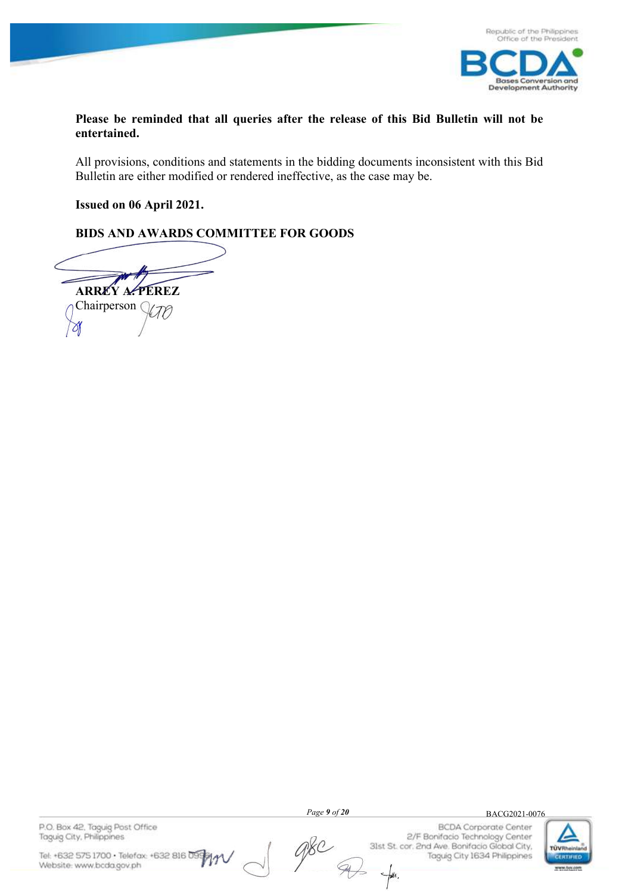

**Please be reminded that all queries after the release of this Bid Bulletin will not be entertained.**

All provisions, conditions and statements in the bidding documents inconsistent with this Bid Bulletin are either modified or rendered ineffective, as the case may be.

**Issued on 06 April 2021.**

### **BIDS AND AWARDS COMMITTEE FOR GOODS**

**ARREY A. PEREZ**  Chairperson C kto ⋊

P.O. Box 42, Taguig Post Office Taguig City, Philippines

Tel: +632 575 1700 · Telefax: +632 816 09 Website: www.bcda.gov.ph

 *Page 9 of 20*

 $\mathcal{A}$ 

 $\mathscr{A}\!\!\mathscr{E}\!\!\mathscr{C}$ 

**BCDA** Corporate Center 2/F Bonifacio Technology Center 31st St. cor. 2nd Ave. Bonifacio Global City, Taguig City 1634 Philippines  $-\frac{1}{2}a$ .



BACG2021-0076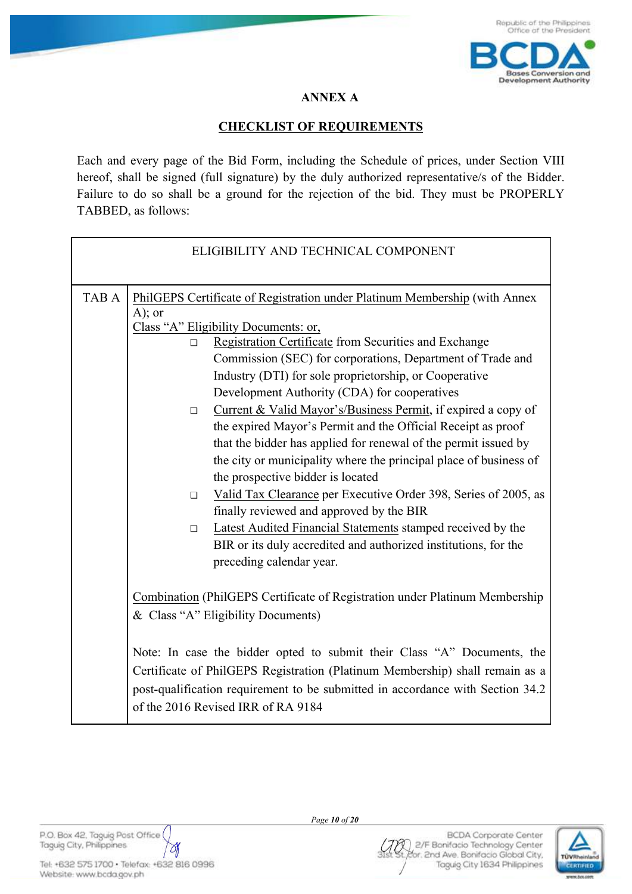

# **ANNEX A**

# **CHECKLIST OF REQUIREMENTS**

Each and every page of the Bid Form, including the Schedule of prices, under Section VIII hereof, shall be signed (full signature) by the duly authorized representative/s of the Bidder. Failure to do so shall be a ground for the rejection of the bid. They must be PROPERLY TABBED, as follows:

| ELIGIBILITY AND TECHNICAL COMPONENT |                                                                                                                                                                                                                                                                                                                                                                                                                                                                                                                                                                                                                                                                                                                                                                                                                                                                                                                                                                                            |  |  |  |
|-------------------------------------|--------------------------------------------------------------------------------------------------------------------------------------------------------------------------------------------------------------------------------------------------------------------------------------------------------------------------------------------------------------------------------------------------------------------------------------------------------------------------------------------------------------------------------------------------------------------------------------------------------------------------------------------------------------------------------------------------------------------------------------------------------------------------------------------------------------------------------------------------------------------------------------------------------------------------------------------------------------------------------------------|--|--|--|
| TAB A                               | PhilGEPS Certificate of Registration under Platinum Membership (with Annex<br>$A)$ ; or<br>Class "A" Eligibility Documents: or,<br>Registration Certificate from Securities and Exchange<br>П<br>Commission (SEC) for corporations, Department of Trade and<br>Industry (DTI) for sole proprietorship, or Cooperative<br>Development Authority (CDA) for cooperatives<br>Current & Valid Mayor's/Business Permit, if expired a copy of<br>$\Box$<br>the expired Mayor's Permit and the Official Receipt as proof<br>that the bidder has applied for renewal of the permit issued by<br>the city or municipality where the principal place of business of<br>the prospective bidder is located<br>Valid Tax Clearance per Executive Order 398, Series of 2005, as<br>П.<br>finally reviewed and approved by the BIR<br>Latest Audited Financial Statements stamped received by the<br>$\Box$<br>BIR or its duly accredited and authorized institutions, for the<br>preceding calendar year. |  |  |  |
|                                     | Combination (PhilGEPS Certificate of Registration under Platinum Membership<br>& Class "A" Eligibility Documents)<br>Note: In case the bidder opted to submit their Class "A" Documents, the<br>Certificate of PhilGEPS Registration (Platinum Membership) shall remain as a<br>post-qualification requirement to be submitted in accordance with Section 34.2<br>of the 2016 Revised IRR of RA 9184                                                                                                                                                                                                                                                                                                                                                                                                                                                                                                                                                                                       |  |  |  |

P.O. Box 42, Taguig Post Office Taguig City, Philippines

Tel: +632 575 1700 · Telefax: +632 816 0996 Website: www.bcda.gov.ph

Ŋ

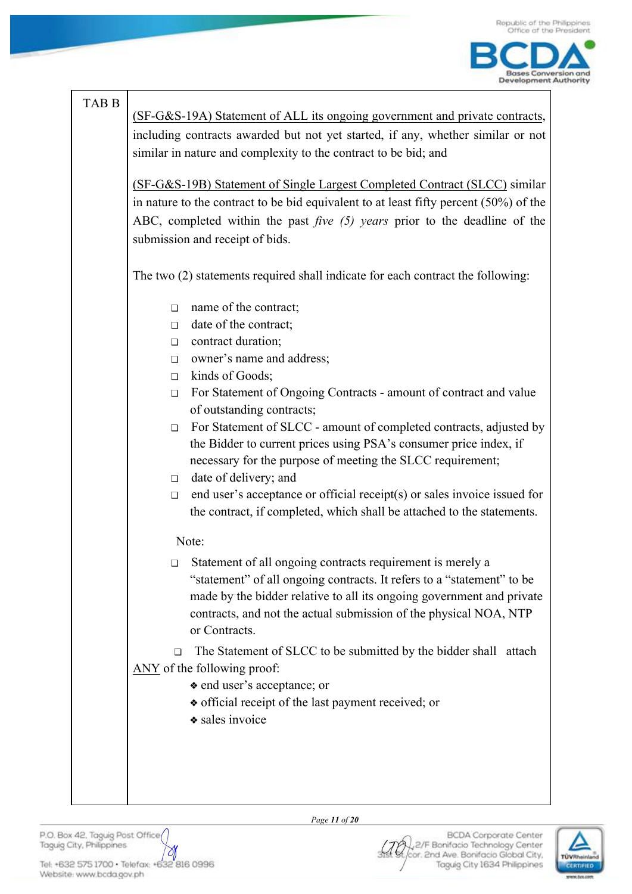

# TAB B

(SF-G&S-19A) Statement of ALL its ongoing government and private contracts, including contracts awarded but not yet started, if any, whether similar or not similar in nature and complexity to the contract to be bid; and

(SF-G&S-19B) Statement of Single Largest Completed Contract (SLCC) similar in nature to the contract to be bid equivalent to at least fifty percent (50%) of the ABC, completed within the past *five (5) years* prior to the deadline of the submission and receipt of bids.

The two (2) statements required shall indicate for each contract the following:

- ❏ name of the contract;
- ❏ date of the contract;
- ❏ contract duration;
- ❏ owner's name and address;
- ❏ kinds of Goods;
- ❏ For Statement of Ongoing Contracts amount of contract and value of outstanding contracts;
- ❏ For Statement of SLCC amount of completed contracts, adjusted by the Bidder to current prices using PSA's consumer price index, if necessary for the purpose of meeting the SLCC requirement;
- ❏ date of delivery; and
- ❏ end user's acceptance or official receipt(s) or sales invoice issued for the contract, if completed, which shall be attached to the statements.

# Note:

❏ Statement of all ongoing contracts requirement is merely a "statement" of all ongoing contracts. It refers to a "statement" to be made by the bidder relative to all its ongoing government and private contracts, and not the actual submission of the physical NOA, NTP or Contracts.

❏ The Statement of SLCC to be submitted by the bidder shall attach ANY of the following proof:

- ❖ end user's acceptance; or
- ❖ official receipt of the last payment received; or
- ❖ sales invoice

Website: www.bcda.gov.ph

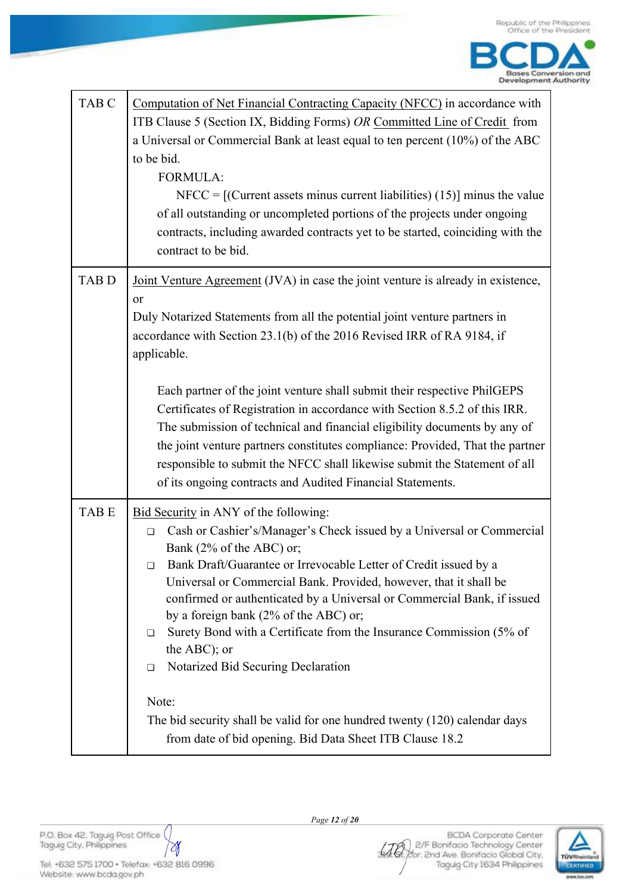| TAB <sub>C</sub> | Computation of Net Financial Contracting Capacity (NFCC) in accordance with<br>ITB Clause 5 (Section IX, Bidding Forms) OR Committed Line of Credit from<br>a Universal or Commercial Bank at least equal to ten percent (10%) of the ABC<br>to be bid.<br><b>FORMULA:</b><br>$NFCC = [(Current assets minus current liabilities) (15)]$ minus the value<br>of all outstanding or uncompleted portions of the projects under ongoing<br>contracts, including awarded contracts yet to be started, coinciding with the<br>contract to be bid.                                                                                                                                                                                     |
|------------------|----------------------------------------------------------------------------------------------------------------------------------------------------------------------------------------------------------------------------------------------------------------------------------------------------------------------------------------------------------------------------------------------------------------------------------------------------------------------------------------------------------------------------------------------------------------------------------------------------------------------------------------------------------------------------------------------------------------------------------|
| <b>TABD</b>      | Joint Venture Agreement (JVA) in case the joint venture is already in existence,<br>or<br>Duly Notarized Statements from all the potential joint venture partners in<br>accordance with Section 23.1(b) of the 2016 Revised IRR of RA 9184, if<br>applicable.<br>Each partner of the joint venture shall submit their respective PhilGEPS<br>Certificates of Registration in accordance with Section 8.5.2 of this IRR.<br>The submission of technical and financial eligibility documents by any of<br>the joint venture partners constitutes compliance: Provided, That the partner<br>responsible to submit the NFCC shall likewise submit the Statement of all<br>of its ongoing contracts and Audited Financial Statements. |
| TAB E            | Bid Security in ANY of the following:<br>Cash or Cashier's/Manager's Check issued by a Universal or Commercial<br>$\Box$<br>Bank (2% of the ABC) or;<br>Bank Draft/Guarantee or Irrevocable Letter of Credit issued by a<br>□<br>Universal or Commercial Bank. Provided, however, that it shall be<br>confirmed or authenticated by a Universal or Commercial Bank, if issued<br>by a foreign bank $(2%$ of the ABC) or;<br>Surety Bond with a Certificate from the Insurance Commission (5% of<br>□<br>the ABC); or<br>Notarized Bid Securing Declaration<br>□<br>Note:<br>The bid security shall be valid for one hundred twenty (120) calendar days<br>from date of bid opening. Bid Data Sheet ITB Clause 18.2               |

P.O. Box 42, Taguig Post Office (<br>Taguig City, Philippines  $\triangledown$ 

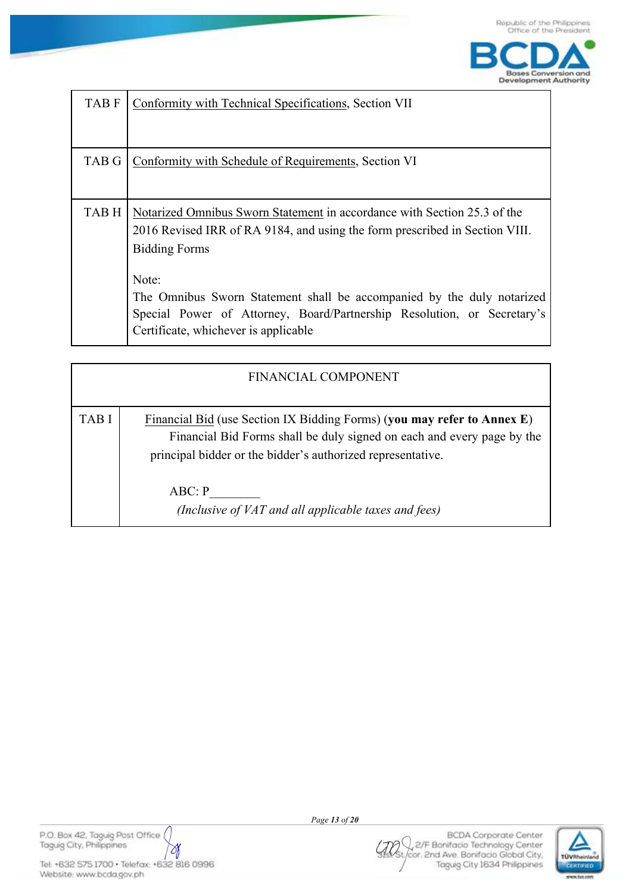

| <b>TABF</b>  | Conformity with Technical Specifications, Section VII                                                                                                                                                                                                                                                                                                                                 |
|--------------|---------------------------------------------------------------------------------------------------------------------------------------------------------------------------------------------------------------------------------------------------------------------------------------------------------------------------------------------------------------------------------------|
| <b>TAB G</b> | Conformity with Schedule of Requirements, Section VI                                                                                                                                                                                                                                                                                                                                  |
| TAB H        | Notarized Omnibus Sworn Statement in accordance with Section 25.3 of the<br>2016 Revised IRR of RA 9184, and using the form prescribed in Section VIII.<br><b>Bidding Forms</b><br>Note:<br>The Omnibus Sworn Statement shall be accompanied by the duly notarized<br>Special Power of Attorney, Board/Partnership Resolution, or Secretary's<br>Certificate, whichever is applicable |

|             | <b>FINANCIAL COMPONENT</b>                                                                                                                                                                                                 |
|-------------|----------------------------------------------------------------------------------------------------------------------------------------------------------------------------------------------------------------------------|
| <b>TABI</b> | Financial Bid (use Section IX Bidding Forms) (you may refer to Annex E)<br>Financial Bid Forms shall be duly signed on each and every page by the<br>principal bidder or the bidder's authorized representative.<br>ABC: P |
|             | (Inclusive of VAT and all applicable taxes and fees)                                                                                                                                                                       |

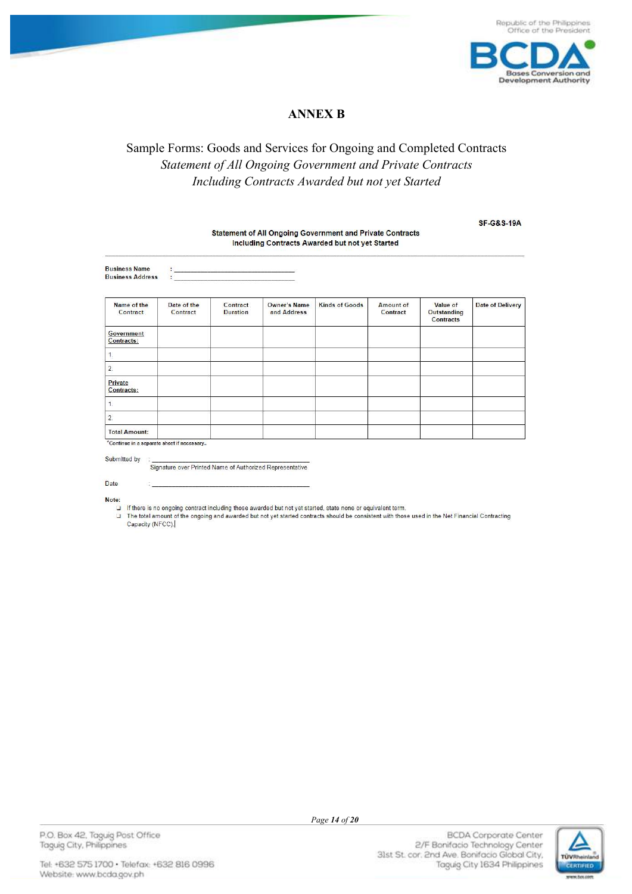

SF-G&S-19A

## **ANNEX B**

# Sample Forms: Goods and Services for Ongoing and Completed Contracts Statement of All Ongoing Government and Private Contracts Including Contracts Awarded but not yet Started

| <b>Statement of All Ongoing Government and Private Contracts</b><br>Including Contracts Awarded but not yet Started |                                                    |                             |                                    |                       |                       |                                             |                         |
|---------------------------------------------------------------------------------------------------------------------|----------------------------------------------------|-----------------------------|------------------------------------|-----------------------|-----------------------|---------------------------------------------|-------------------------|
| <b>Business Name</b><br><b>Business Address</b>                                                                     | <u> 1970 - Andrej Heiner, amerikansk politik (</u> |                             |                                    |                       |                       |                                             |                         |
| Name of the<br>Contract                                                                                             | Date of the<br>Contract                            | Contract<br><b>Duration</b> | <b>Owner's Name</b><br>and Address | <b>Kinds of Goods</b> | Amount of<br>Contract | Value of<br>Outstanding<br><b>Contracts</b> | <b>Date of Delivery</b> |
| Government<br>Contracts:                                                                                            |                                                    |                             |                                    |                       |                       |                                             |                         |
| $\mathbf{1}$                                                                                                        |                                                    |                             |                                    |                       |                       |                                             |                         |
| 2.                                                                                                                  |                                                    |                             |                                    |                       |                       |                                             |                         |
| Private<br>Contracts:                                                                                               |                                                    |                             |                                    |                       |                       |                                             |                         |
| $\mathbf{1}$                                                                                                        |                                                    |                             |                                    |                       |                       |                                             |                         |
| $\overline{2}$                                                                                                      |                                                    |                             |                                    |                       |                       |                                             |                         |
| <b>Total Amount:</b>                                                                                                |                                                    |                             |                                    |                       |                       |                                             |                         |
| *Continue in a separate sheet if necessary                                                                          |                                                    |                             |                                    |                       |                       |                                             |                         |

Submitted by

Signature over Printed Name of Authorized Representative

Date

Note:

If there is no ongoing contract including those awarded but not yet started, state none or equivalent term.  $\Box$ 

The total amount of the ongoing and awarded but not yet started contracts should be consistent with those used in the Net Financial Contracting  $\Box$ Capacity (NFCC).

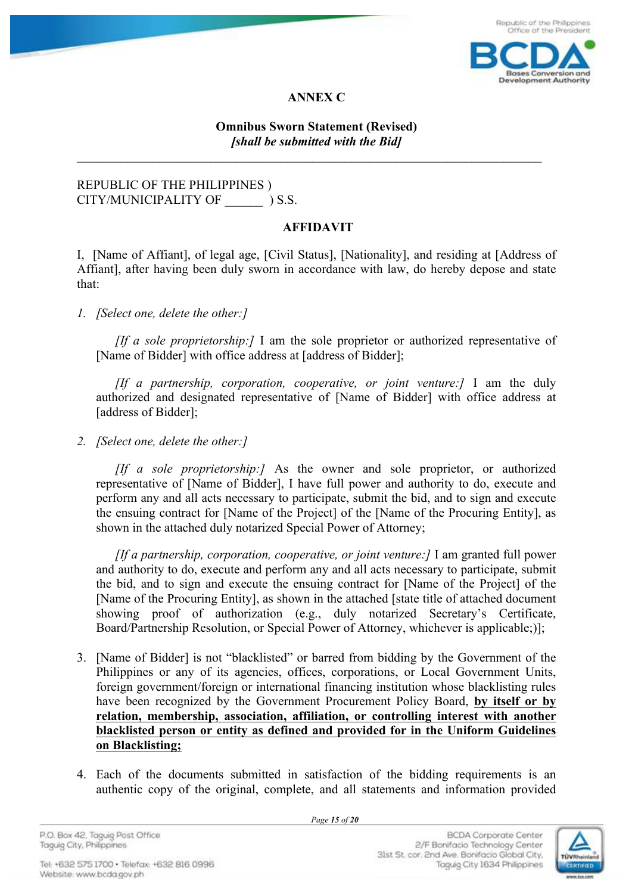

**ANNEX C**

## **Omnibus Sworn Statement (Revised)** *[shall be submitted with the Bid]*

 $\_$  , and the contribution of the contribution of  $\mathcal{L}_\mathcal{A}$  , and the contribution of  $\mathcal{L}_\mathcal{A}$ 

## REPUBLIC OF THE PHILIPPINES ) CITY/MUNICIPALITY OF  $\qquad$  ) S.S.

## **AFFIDAVIT**

I, [Name of Affiant], of legal age, [Civil Status], [Nationality], and residing at [Address of Affiant], after having been duly sworn in accordance with law, do hereby depose and state that:

*1. [Select one, delete the other:]*

*[If a sole proprietorship:]* I am the sole proprietor or authorized representative of [Name of Bidder] with office address at [address of Bidder];

*[If a partnership, corporation, cooperative, or joint venture:]* I am the duly authorized and designated representative of [Name of Bidder] with office address at [address of Bidder];

*2. [Select one, delete the other:]*

*[If a sole proprietorship:]* As the owner and sole proprietor, or authorized representative of [Name of Bidder], I have full power and authority to do, execute and perform any and all acts necessary to participate, submit the bid, and to sign and execute the ensuing contract for [Name of the Project] of the [Name of the Procuring Entity], as shown in the attached duly notarized Special Power of Attorney;

*[If a partnership, corporation, cooperative, or joint venture:]* I am granted full power and authority to do, execute and perform any and all acts necessary to participate, submit the bid, and to sign and execute the ensuing contract for [Name of the Project] of the [Name of the Procuring Entity], as shown in the attached [state title of attached document showing proof of authorization (e.g., duly notarized Secretary's Certificate, Board/Partnership Resolution, or Special Power of Attorney, whichever is applicable;)];

- 3. [Name of Bidder] is not "blacklisted" or barred from bidding by the Government of the Philippines or any of its agencies, offices, corporations, or Local Government Units, foreign government/foreign or international financing institution whose blacklisting rules have been recognized by the Government Procurement Policy Board, **by itself or by relation, membership, association, affiliation, or controlling interest with another blacklisted person or entity as defined and provided for in the Uniform Guidelines on Blacklisting;**
- 4. Each of the documents submitted in satisfaction of the bidding requirements is an authentic copy of the original, complete, and all statements and information provided

 *Page 15 of 20*

P.O. Box 42, Taguig Post Office Taquig City, Philippines

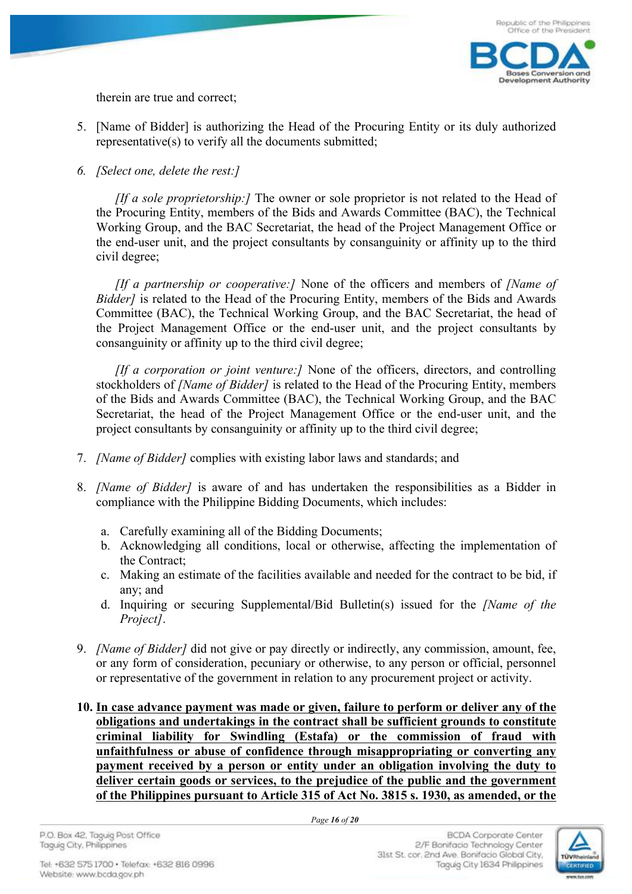

therein are true and correct;

- 5. [Name of Bidder] is authorizing the Head of the Procuring Entity or its duly authorized representative(s) to verify all the documents submitted;
- *6. [Select one, delete the rest:]*

*[If a sole proprietorship:]* The owner or sole proprietor is not related to the Head of the Procuring Entity, members of the Bids and Awards Committee (BAC), the Technical Working Group, and the BAC Secretariat, the head of the Project Management Office or the end-user unit, and the project consultants by consanguinity or affinity up to the third civil degree;

*[If a partnership or cooperative:]* None of the officers and members of *[Name of Bidder]* is related to the Head of the Procuring Entity, members of the Bids and Awards Committee (BAC), the Technical Working Group, and the BAC Secretariat, the head of the Project Management Office or the end-user unit, and the project consultants by consanguinity or affinity up to the third civil degree;

*[If a corporation or joint venture:]* None of the officers, directors, and controlling stockholders of *[Name of Bidder]* is related to the Head of the Procuring Entity, members of the Bids and Awards Committee (BAC), the Technical Working Group, and the BAC Secretariat, the head of the Project Management Office or the end-user unit, and the project consultants by consanguinity or affinity up to the third civil degree;

- 7. *[Name of Bidder]* complies with existing labor laws and standards; and
- 8. *[Name of Bidder]* is aware of and has undertaken the responsibilities as a Bidder in compliance with the Philippine Bidding Documents, which includes:
	- a. Carefully examining all of the Bidding Documents;
	- b. Acknowledging all conditions, local or otherwise, affecting the implementation of the Contract;
	- c. Making an estimate of the facilities available and needed for the contract to be bid, if any; and
	- d. Inquiring or securing Supplemental/Bid Bulletin(s) issued for the *[Name of the Project]*.
- 9. *[Name of Bidder]* did not give or pay directly or indirectly, any commission, amount, fee, or any form of consideration, pecuniary or otherwise, to any person or official, personnel or representative of the government in relation to any procurement project or activity.
- **10. In case advance payment was made or given, failure to perform or deliver any of the obligations and undertakings in the contract shall be sufficient grounds to constitute criminal liability for Swindling (Estafa) or the commission of fraud with unfaithfulness or abuse of confidence through misappropriating or converting any payment received by a person or entity under an obligation involving the duty to deliver certain goods or services, to the prejudice of the public and the government of the Philippines pursuant to Article 315 of Act No. 3815 s. 1930, as amended, or the**

 *Page 16 of 20*

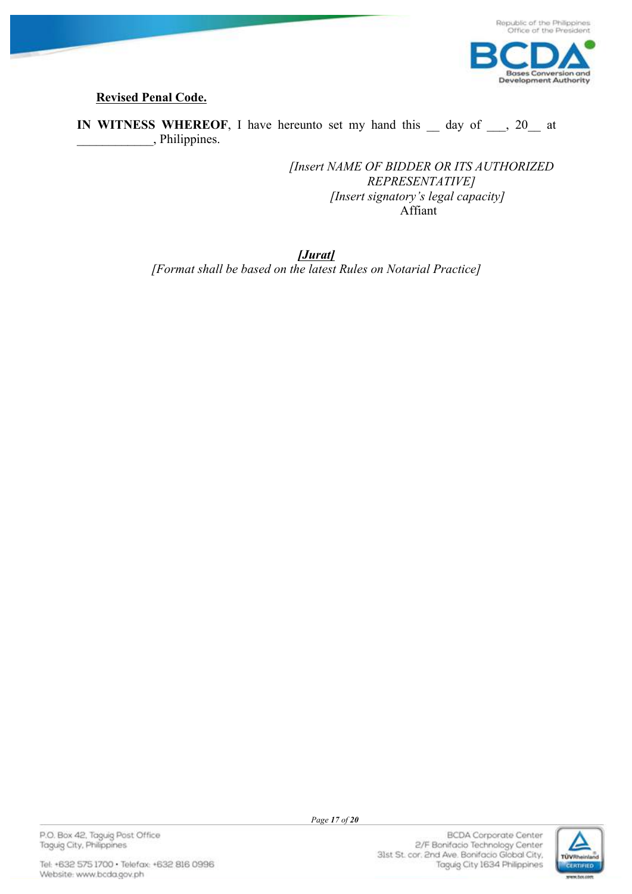

# **Revised Penal Code.**

**IN WITNESS WHEREOF**, I have hereunto set my hand this day of , 20 at \_\_\_\_\_\_\_\_\_\_\_\_, Philippines.

> *[Insert NAME OF BIDDER OR ITS AUTHORIZED REPRESENTATIVE] [Insert signatory's legal capacity]* Affiant

*[Jurat]*

*[Format shall be based on the latest Rules on Notarial Practice]*

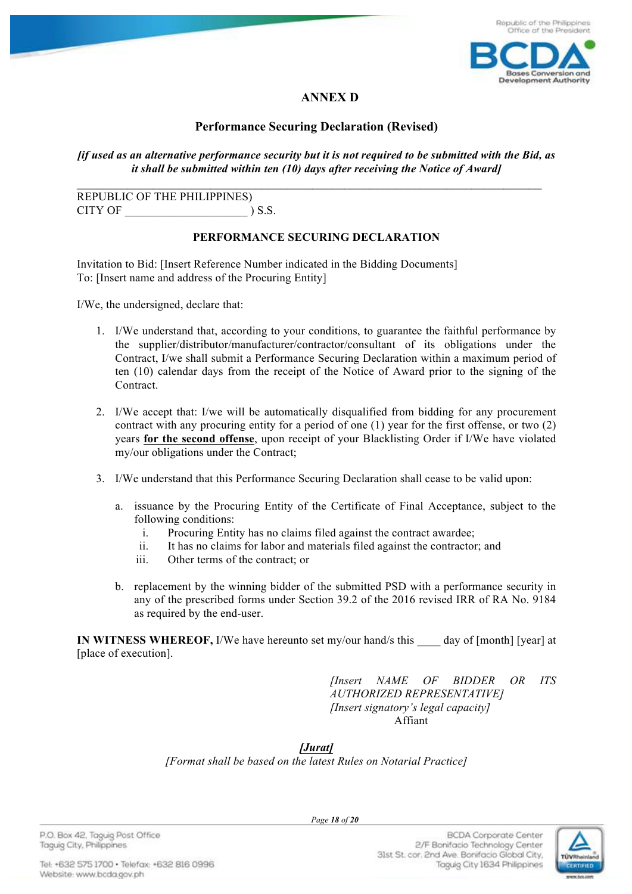

# **ANNEX D**

## **Performance Securing Declaration (Revised)**

*[if used as an alternative performance security but it is not required to be submitted with the Bid, as it shall be submitted within ten (10) days after receiving the Notice of Award]*

 $\_$  , and the contribution of the contribution of  $\mathcal{L}_\mathcal{A}$  , and the contribution of  $\mathcal{L}_\mathcal{A}$ 

REPUBLIC OF THE PHILIPPINES) CITY OF  $\qquad \qquad$  ) S.S.

#### **PERFORMANCE SECURING DECLARATION**

Invitation to Bid: [Insert Reference Number indicated in the Bidding Documents] To: [Insert name and address of the Procuring Entity]

I/We, the undersigned, declare that:

- 1. I/We understand that, according to your conditions, to guarantee the faithful performance by the supplier/distributor/manufacturer/contractor/consultant of its obligations under the Contract, I/we shall submit a Performance Securing Declaration within a maximum period of ten (10) calendar days from the receipt of the Notice of Award prior to the signing of the Contract.
- 2. I/We accept that: I/we will be automatically disqualified from bidding for any procurement contract with any procuring entity for a period of one (1) year for the first offense, or two (2) years **for the second offense**, upon receipt of your Blacklisting Order if I/We have violated my/our obligations under the Contract;
- 3. I/We understand that this Performance Securing Declaration shall cease to be valid upon:
	- a. issuance by the Procuring Entity of the Certificate of Final Acceptance, subject to the following conditions:
		- i. Procuring Entity has no claims filed against the contract awardee;
		- ii. It has no claims for labor and materials filed against the contractor; and
		- iii. Other terms of the contract; or
	- b. replacement by the winning bidder of the submitted PSD with a performance security in any of the prescribed forms under Section 39.2 of the 2016 revised IRR of RA No. 9184 as required by the end-user.

**IN WITNESS WHEREOF,** I/We have hereunto set my/our hand/s this day of [month] [year] at [place of execution].

> *[Insert NAME OF BIDDER OR ITS AUTHORIZED REPRESENTATIVE] [Insert signatory's legal capacity]* Affiant

*[Jurat]*

*[Format shall be based on the latest Rules on Notarial Practice]*

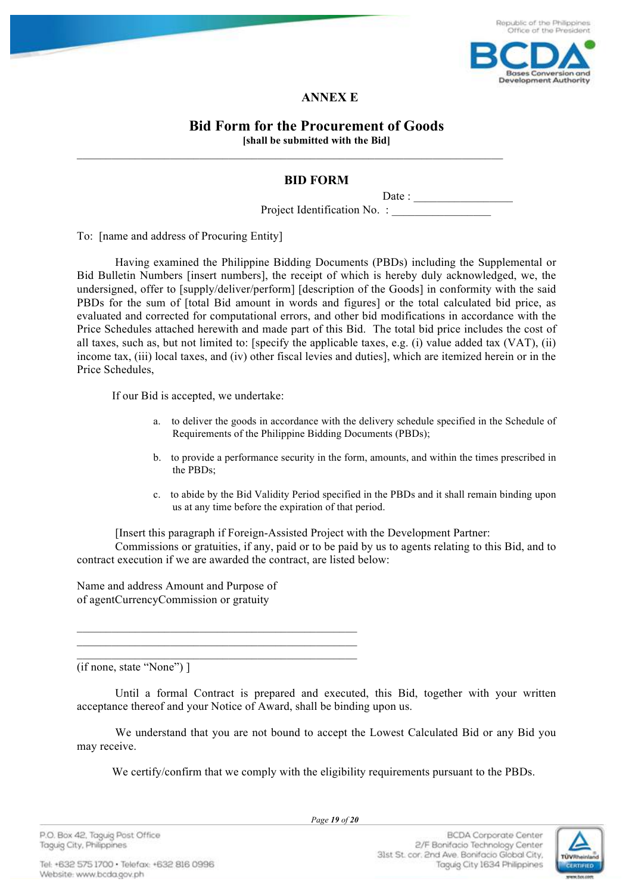

## **ANNEX E**

#### **Bid Form for the Procurement of Goods [shall be submitted with the Bid]**

## **BID FORM**

Date :

Project Identification No. :

To: [name and address of Procuring Entity]

Having examined the Philippine Bidding Documents (PBDs) including the Supplemental or Bid Bulletin Numbers [insert numbers], the receipt of which is hereby duly acknowledged, we, the undersigned, offer to [supply/deliver/perform] [description of the Goods] in conformity with the said PBDs for the sum of [total Bid amount in words and figures] or the total calculated bid price, as evaluated and corrected for computational errors, and other bid modifications in accordance with the Price Schedules attached herewith and made part of this Bid. The total bid price includes the cost of all taxes, such as, but not limited to: [specify the applicable taxes, e.g. (i) value added tax (VAT), (ii) income tax, (iii) local taxes, and (iv) other fiscal levies and duties], which are itemized herein or in the Price Schedules,

If our Bid is accepted, we undertake:

- a. to deliver the goods in accordance with the delivery schedule specified in the Schedule of Requirements of the Philippine Bidding Documents (PBDs);
- b. to provide a performance security in the form, amounts, and within the times prescribed in the PBDs;
- c. to abide by the Bid Validity Period specified in the PBDs and it shall remain binding upon us at any time before the expiration of that period.

[Insert this paragraph if Foreign-Assisted Project with the Development Partner:

Commissions or gratuities, if any, paid or to be paid by us to agents relating to this Bid, and to contract execution if we are awarded the contract, are listed below:

Name and address Amount and Purpose of of agentCurrencyCommission or gratuity

 $\overline{\phantom{a}}$  , and the set of the set of the set of the set of the set of the set of the set of the set of the set of the set of the set of the set of the set of the set of the set of the set of the set of the set of the s  $\overline{\phantom{a}}$  , and the contract of the contract of the contract of the contract of the contract of the contract of the contract of the contract of the contract of the contract of the contract of the contract of the contrac  $\mathcal{L}_\text{max} = \mathcal{L}_\text{max} = \mathcal{L}_\text{max} = \mathcal{L}_\text{max} = \mathcal{L}_\text{max} = \mathcal{L}_\text{max} = \mathcal{L}_\text{max} = \mathcal{L}_\text{max} = \mathcal{L}_\text{max} = \mathcal{L}_\text{max} = \mathcal{L}_\text{max} = \mathcal{L}_\text{max} = \mathcal{L}_\text{max} = \mathcal{L}_\text{max} = \mathcal{L}_\text{max} = \mathcal{L}_\text{max} = \mathcal{L}_\text{max} = \mathcal{L}_\text{max} = \mathcal{$ 

(if none, state "None") ]

Until a formal Contract is prepared and executed, this Bid, together with your written acceptance thereof and your Notice of Award, shall be binding upon us.

We understand that you are not bound to accept the Lowest Calculated Bid or any Bid you may receive.

We certify/confirm that we comply with the eligibility requirements pursuant to the PBDs.

**BCDA** Corporate Center 2/F Bonifacio Technology Center

Taguig City 1634 Philippines

31st St. cor. 2nd Ave. Bonifacio Global City,

 *Page 19 of 20*